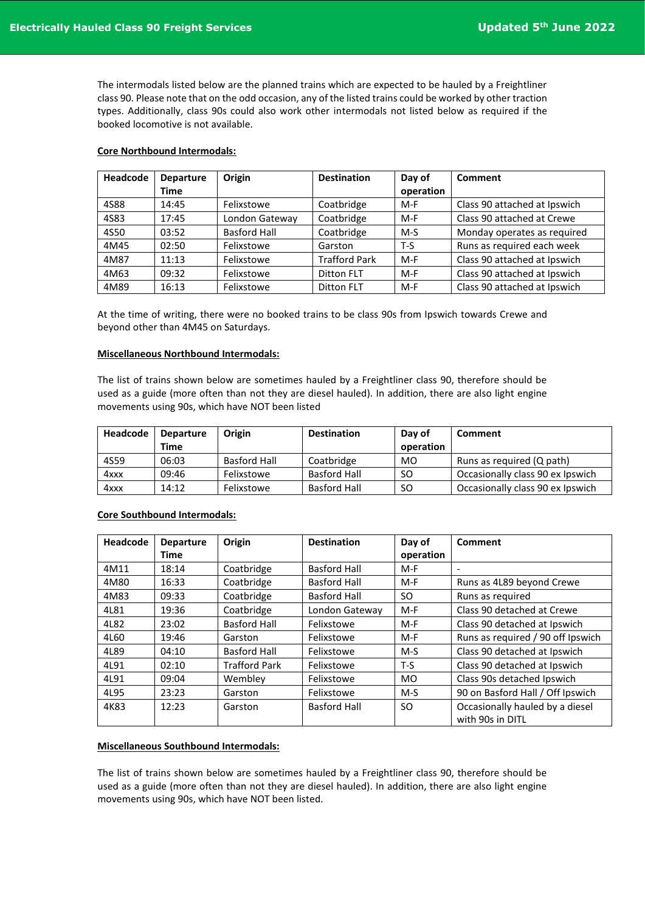The intermodals listed below are the planned trains which are expected to be hauled by a Freightliner class 90. Please note that on the odd occasion, any of the listed trains could be worked by other traction types. Additionally, class 90s could also work other intermodals not listed below as required if the booked locomotive is not available.

### **Core Northbound Intermodals:**

| Headcode | <b>Departure</b> | Origin              | <b>Destination</b>   | Day of    | Comment                      |
|----------|------------------|---------------------|----------------------|-----------|------------------------------|
|          | Time             |                     |                      | operation |                              |
| 4S88     | 14:45            | Felixstowe          | Coatbridge           | $M-F$     | Class 90 attached at Ipswich |
| 4S83     | 17:45            | London Gateway      | Coatbridge           | $M-F$     | Class 90 attached at Crewe   |
| 4S50     | 03:52            | <b>Basford Hall</b> | Coatbridge           | $M-S$     | Monday operates as required  |
| 4M45     | 02:50            | Felixstowe          | Garston              | $T-S$     | Runs as required each week   |
| 4M87     | 11:13            | Felixstowe          | <b>Trafford Park</b> | $M-F$     | Class 90 attached at Ipswich |
| 4M63     | 09:32            | Felixstowe          | <b>Ditton FLT</b>    | $M-F$     | Class 90 attached at Ipswich |
| 4M89     | 16:13            | Felixstowe          | Ditton FLT           | $M-F$     | Class 90 attached at Ipswich |

At the time of writing, there were no booked trains to be class 90s from Ipswich towards Crewe and beyond other than 4M45 on Saturdays.

### **Miscellaneous Northbound Intermodals:**

The list of trains shown below are sometimes hauled by a Freightliner class 90, therefore should be used as a guide (more often than not they are diesel hauled). In addition, there are also light engine movements using 90s, which have NOT been listed

| Headcode | <b>Departure</b> | Origin       | <b>Destination</b>  | Day of        | Comment                          |
|----------|------------------|--------------|---------------------|---------------|----------------------------------|
|          | Time             |              |                     | operation     |                                  |
| 4S59     | 06:03            | Basford Hall | Coatbridge          | MO            | Runs as reguired (Q path)        |
| 4xxx     | 09:46            | Felixstowe   | <b>Basford Hall</b> | SO.           | Occasionally class 90 ex Ipswich |
| 4xxx     | 14:12            | Felixstowe   | <b>Basford Hall</b> | <sub>SO</sub> | Occasionally class 90 ex Ipswich |

## **Core Southbound Intermodals:**

| Headcode | <b>Departure</b> | Origin               | <b>Destination</b>  | Day of    | Comment                           |
|----------|------------------|----------------------|---------------------|-----------|-----------------------------------|
|          | Time             |                      |                     | operation |                                   |
| 4M11     | 18:14            | Coatbridge           | Basford Hall        | $M-F$     |                                   |
| 4M80     | 16:33            | Coatbridge           | <b>Basford Hall</b> | $M-F$     | Runs as 4L89 beyond Crewe         |
| 4M83     | 09:33            | Coatbridge           | <b>Basford Hall</b> | SO.       | Runs as required                  |
| 4L81     | 19:36            | Coatbridge           | London Gateway      | $M-F$     | Class 90 detached at Crewe        |
| 4L82     | 23:02            | <b>Basford Hall</b>  | Felixstowe          | $M-F$     | Class 90 detached at Ipswich      |
| 4L60     | 19:46            | Garston              | Felixstowe          | $M-F$     | Runs as required / 90 off Ipswich |
| 4L89     | 04:10            | <b>Basford Hall</b>  | Felixstowe          | $M-S$     | Class 90 detached at Ipswich      |
| 4L91     | 02:10            | <b>Trafford Park</b> | Felixstowe          | $T-S$     | Class 90 detached at Ipswich      |
| 4L91     | 09:04            | Wembley              | Felixstowe          | <b>MO</b> | Class 90s detached Ipswich        |
| 4L95     | 23:23            | Garston              | Felixstowe          | $M-S$     | 90 on Basford Hall / Off Ipswich  |
| 4K83     | 12:23            | Garston              | <b>Basford Hall</b> | SO.       | Occasionally hauled by a diesel   |
|          |                  |                      |                     |           | with 90s in DITL                  |

#### **Miscellaneous Southbound Intermodals:**

The list of trains shown below are sometimes hauled by a Freightliner class 90, therefore should be used as a guide (more often than not they are diesel hauled). In addition, there are also light engine movements using 90s, which have NOT been listed.